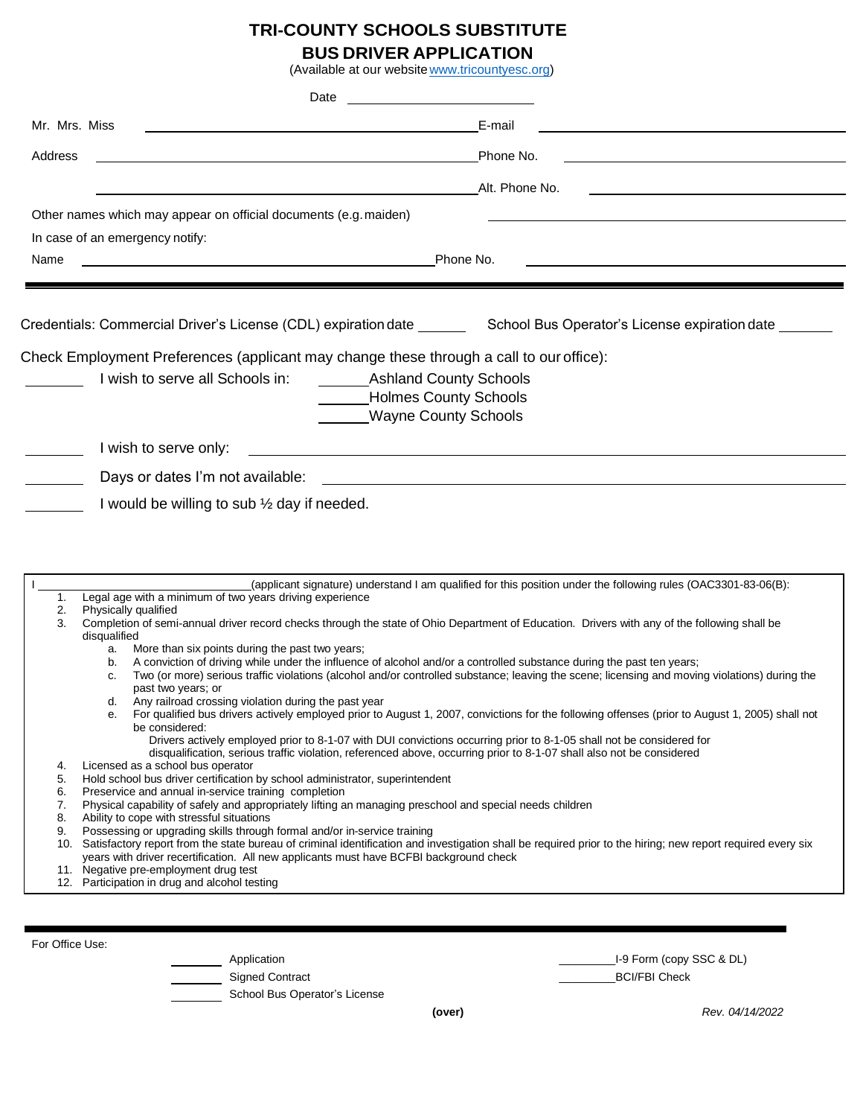## **TRI-COUNTY SCHOOLS SUBSTITUTE**

# **BUS DRIVER APPLICATION**

(Available at our website [www.tricountyesc.org\)](http://www.tricountyesc.org/)

|                 | (Available at our website www.tricountyesc.org)                                                                                                                                                                                                                                    |
|-----------------|------------------------------------------------------------------------------------------------------------------------------------------------------------------------------------------------------------------------------------------------------------------------------------|
|                 | Date                                                                                                                                                                                                                                                                               |
| Mr. Mrs. Miss   | E-mail                                                                                                                                                                                                                                                                             |
| Address         | Phone No.                                                                                                                                                                                                                                                                          |
|                 | Alt. Phone No.                                                                                                                                                                                                                                                                     |
|                 | Other names which may appear on official documents (e.g. maiden)                                                                                                                                                                                                                   |
|                 | In case of an emergency notify:                                                                                                                                                                                                                                                    |
| Name            | Phone No.<br><u> 1989 - Johann Stoff, deutscher Stoffen und der Stoffen und der Stoffen und der Stoffen und der Stoffen und de</u><br><u> 1989 - Johann Barbara, martin amerikan basar dan berasal dan berasal dalam basar dalam basar dalam basar dala</u>                        |
|                 |                                                                                                                                                                                                                                                                                    |
|                 | Credentials: Commercial Driver's License (CDL) expiration date _______ School Bus Operator's License expiration date                                                                                                                                                               |
|                 | Check Employment Preferences (applicant may change these through a call to our office):                                                                                                                                                                                            |
|                 | I wish to serve all Schools in:<br>Ashland County Schools                                                                                                                                                                                                                          |
|                 | <b>Holmes County Schools</b>                                                                                                                                                                                                                                                       |
|                 | <b>Wayne County Schools</b>                                                                                                                                                                                                                                                        |
|                 | I wish to serve only:<br><u> 1989 - Johann Stein, marwolaethau a bhann an t-Amhair ann an t-Amhair an t-Amhair an t-Amhair an t-Amhair an</u>                                                                                                                                      |
|                 | Days or dates I'm not available:<br><u> 1989 - Andrea Station Barbara, amerikan personal (h. 1989).</u>                                                                                                                                                                            |
|                 | I would be willing to sub $\frac{1}{2}$ day if needed.                                                                                                                                                                                                                             |
|                 |                                                                                                                                                                                                                                                                                    |
|                 |                                                                                                                                                                                                                                                                                    |
|                 |                                                                                                                                                                                                                                                                                    |
| 1.              | (applicant signature) understand I am qualified for this position under the following rules (OAC3301-83-06(B):<br>Legal age with a minimum of two years driving experience                                                                                                         |
| 2.              | Physically qualified                                                                                                                                                                                                                                                               |
| 3.              | Completion of semi-annual driver record checks through the state of Ohio Department of Education. Drivers with any of the following shall be<br>disqualified                                                                                                                       |
|                 | More than six points during the past two years;<br>a.                                                                                                                                                                                                                              |
|                 | A conviction of driving while under the influence of alcohol and/or a controlled substance during the past ten years;<br>b.<br>Two (or more) serious traffic violations (alcohol and/or controlled substance; leaving the scene; licensing and moving violations) during the<br>C. |
|                 | past two years; or<br>Any railroad crossing violation during the past year<br>d.                                                                                                                                                                                                   |
|                 | For qualified bus drivers actively employed prior to August 1, 2007, convictions for the following offenses (prior to August 1, 2005) shall not<br>е.                                                                                                                              |
|                 | be considered:<br>Drivers actively employed prior to 8-1-07 with DUI convictions occurring prior to 8-1-05 shall not be considered for                                                                                                                                             |
|                 | disqualification, serious traffic violation, referenced above, occurring prior to 8-1-07 shall also not be considered<br>Licensed as a school bus operator                                                                                                                         |
| 4.<br>5.        | Hold school bus driver certification by school administrator, superintendent                                                                                                                                                                                                       |
| 6.<br>7.        | Preservice and annual in-service training completion<br>Physical capability of safely and appropriately lifting an managing preschool and special needs children                                                                                                                   |
| 8.              | Ability to cope with stressful situations                                                                                                                                                                                                                                          |
| 9.              | Possessing or upgrading skills through formal and/or in-service training<br>10. Satisfactory report from the state bureau of criminal identification and investigation shall be required prior to the hiring; new report required every six                                        |
|                 | years with driver recertification. All new applicants must have BCFBI background check                                                                                                                                                                                             |
|                 | 11. Negative pre-employment drug test<br>12. Participation in drug and alcohol testing                                                                                                                                                                                             |
|                 |                                                                                                                                                                                                                                                                                    |
|                 |                                                                                                                                                                                                                                                                                    |
| For Office Use: | 1-9 Form (copy SSC & DL)<br>Application                                                                                                                                                                                                                                            |
|                 |                                                                                                                                                                                                                                                                                    |

example of Signed Contract and the set of the set of the set of the set of the set of the set of the set of the set of the set of the set of the set of the set of the set of the set of the set of the set of the set of the

**School Bus Operator's License** 

**(over)** *Rev. 04/14/2022*